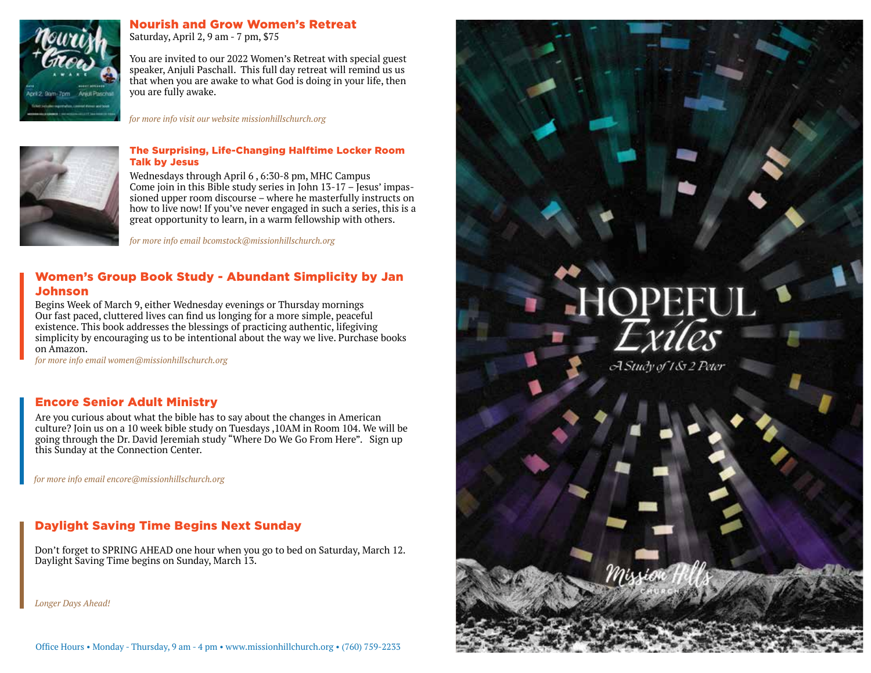

# Nourish and Grow Women's Retreat

Saturday, April 2, 9 am - 7 pm, \$75

You are invited to our 2022 Women's Retreat with special guest speaker, Anjuli Paschall. This full day retreat will remind us us that when you are awake to what God is doing in your life, then you are fully awake.

*for more info visit our website missionhillschurch.org*



#### The Surprising, Life-Changing Halftime Locker Room Talk by Jesus

Wednesdays through April 6 , 6:30-8 pm, MHC Campus Come join in this Bible study series in John 13-17 – Jesus' impassioned upper room discourse – where he masterfully instructs on how to live now! If you've never engaged in such a series, this is a great opportunity to learn, in a warm fellowship with others.

*for more info email bcomstock@missionhillschurch.org*

## Women's Group Book Study - Abundant Simplicity by Jan Johnson

Begins Week of March 9, either Wednesday evenings or Thursday mornings Our fast paced, cluttered lives can find us longing for a more simple, peaceful existence. This book addresses the blessings of practicing authentic, lifegiving simplicity by encouraging us to be intentional about the way we live. Purchase books on Amazon.

*for more info email women@missionhillschurch.org*

# Encore Senior Adult Ministry

Are you curious about what the bible has to say about the changes in American culture? Join us on a 10 week bible study on Tuesdays ,10AM in Room 104. We will be going through the Dr. David Jeremiah study "Where Do We Go From Here". Sign up this Sunday at the Connection Center.

*for more info email encore@missionhillschurch.org*

## Daylight Saving Time Begins Next Sunday

Don't forget to SPRING AHEAD one hour when you go to bed on Saturday, March 12. Daylight Saving Time begins on Sunday, March 13.

*Longer Days Ahead!*